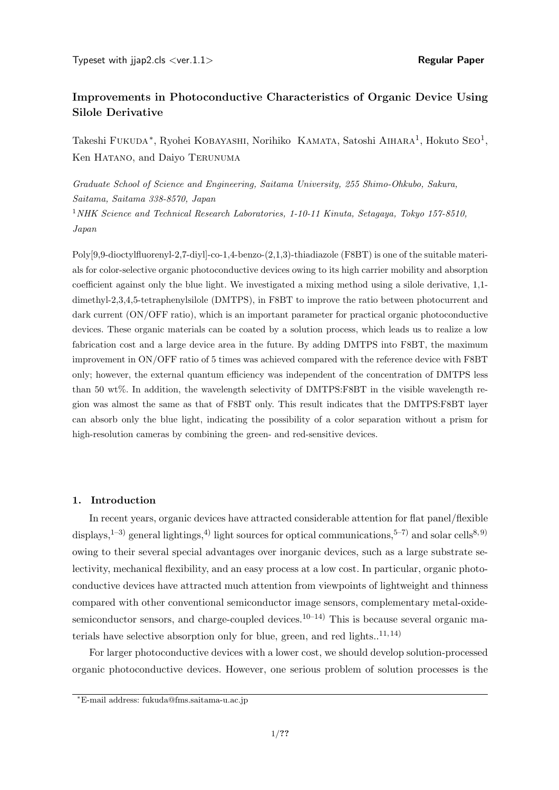# **Improvements in Photoconductive Characteristics of Organic Device Using Silole Derivative**

Takeshi F∪к∪DA<sup>∗</sup>, Ryohei КОВАҮАSНІ, Norihiko КАМАТА, Satoshi АІНАRА<sup>1</sup>, Hokuto SEO<sup>1</sup>, Ken HATANO, and Daiyo TERUNUMA

*Graduate School of Science and Engineering, Saitama University, 255 Shimo-Ohkubo, Sakura, Saitama, Saitama 338-8570, Japan* <sup>1</sup>*NHK Science and Technical Research Laboratories, 1-10-11 Kinuta, Setagaya, Tokyo 157-8510, Japan*

Poly[9,9-dioctylfluorenyl-2,7-diyl]-co-1,4-benzo-(2,1,3)-thiadiazole (F8BT) is one of the suitable materials for color-selective organic photoconductive devices owing to its high carrier mobility and absorption coefficient against only the blue light. We investigated a mixing method using a silole derivative, 1,1 dimethyl-2,3,4,5-tetraphenylsilole (DMTPS), in F8BT to improve the ratio between photocurrent and dark current (ON/OFF ratio), which is an important parameter for practical organic photoconductive devices. These organic materials can be coated by a solution process, which leads us to realize a low fabrication cost and a large device area in the future. By adding DMTPS into F8BT, the maximum improvement in ON/OFF ratio of 5 times was achieved compared with the reference device with F8BT only; however, the external quantum efficiency was independent of the concentration of DMTPS less than 50 wt%. In addition, the wavelength selectivity of DMTPS:F8BT in the visible wavelength region was almost the same as that of F8BT only. This result indicates that the DMTPS:F8BT layer can absorb only the blue light, indicating the possibility of a color separation without a prism for high-resolution cameras by combining the green- and red-sensitive devices.

## **1. Introduction**

In recent years, organic devices have attracted considerable attention for flat panel/flexible displays,<sup>1–3)</sup> general lightings,<sup>4)</sup> light sources for optical communications,<sup>5–7)</sup> and solar cells<sup>8,9)</sup> owing to their several special advantages over inorganic devices, such as a large substrate selectivity, mechanical flexibility, and an easy process at a low cost. In particular, organic photoconductive devices have attracted much attention from viewpoints of lightweight and thinness compared with other conventional semiconductor image sensors, complementary metal-oxidesemiconductor sensors, and charge-coupled devices.<sup>10–14)</sup> This is because several organic materials have selective absorption only for blue, green, and red lights.. $^{11, 14)}$ 

For larger photoconductive devices with a lower cost, we should develop solution-processed organic photoconductive devices. However, one serious problem of solution processes is the

*<sup>∗</sup>*E-mail address: fukuda@fms.saitama-u.ac.jp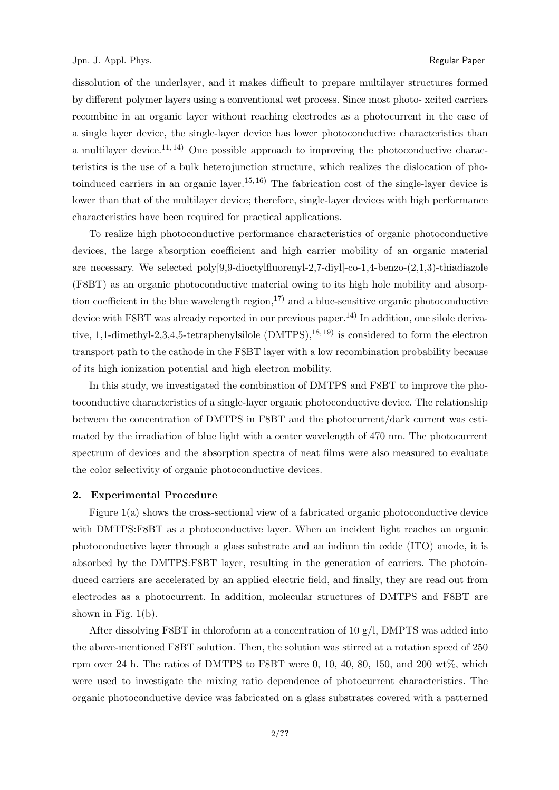dissolution of the underlayer, and it makes difficult to prepare multilayer structures formed by different polymer layers using a conventional wet process. Since most photo- xcited carriers recombine in an organic layer without reaching electrodes as a photocurrent in the case of a single layer device, the single-layer device has lower photoconductive characteristics than a multilayer device.<sup>11, 14</sup> One possible approach to improving the photoconductive characteristics is the use of a bulk heterojunction structure, which realizes the dislocation of photoinduced carriers in an organic layer.<sup>15, 16</sup>) The fabrication cost of the single-layer device is lower than that of the multilayer device; therefore, single-layer devices with high performance characteristics have been required for practical applications.

To realize high photoconductive performance characteristics of organic photoconductive devices, the large absorption coefficient and high carrier mobility of an organic material are necessary. We selected poly[9,9-dioctylfluorenyl-2,7-diyl]-co-1,4-benzo-(2,1,3)-thiadiazole (F8BT) as an organic photoconductive material owing to its high hole mobility and absorption coefficient in the blue wavelength region,  $^{17}$  and a blue-sensitive organic photoconductive device with F8BT was already reported in our previous paper.<sup>14)</sup> In addition, one silole derivative, 1,1-dimethyl-2,3,4,5-tetraphenylsilole  $(DMTPS)$ , <sup>18, 19</sup> is considered to form the electron transport path to the cathode in the F8BT layer with a low recombination probability because of its high ionization potential and high electron mobility.

In this study, we investigated the combination of DMTPS and F8BT to improve the photoconductive characteristics of a single-layer organic photoconductive device. The relationship between the concentration of DMTPS in F8BT and the photocurrent/dark current was estimated by the irradiation of blue light with a center wavelength of 470 nm. The photocurrent spectrum of devices and the absorption spectra of neat films were also measured to evaluate the color selectivity of organic photoconductive devices.

#### **2. Experimental Procedure**

Figure 1(a) shows the cross-sectional view of a fabricated organic photoconductive device with DMTPS:F8BT as a photoconductive layer. When an incident light reaches an organic photoconductive layer through a glass substrate and an indium tin oxide (ITO) anode, it is absorbed by the DMTPS:F8BT layer, resulting in the generation of carriers. The photoinduced carriers are accelerated by an applied electric field, and finally, they are read out from electrodes as a photocurrent. In addition, molecular structures of DMTPS and F8BT are shown in Fig.  $1(b)$ .

After dissolving F8BT in chloroform at a concentration of 10  $g/l$ , DMPTS was added into the above-mentioned F8BT solution. Then, the solution was stirred at a rotation speed of 250 rpm over 24 h. The ratios of DMTPS to F8BT were 0, 10, 40, 80, 150, and 200 wt%, which were used to investigate the mixing ratio dependence of photocurrent characteristics. The organic photoconductive device was fabricated on a glass substrates covered with a patterned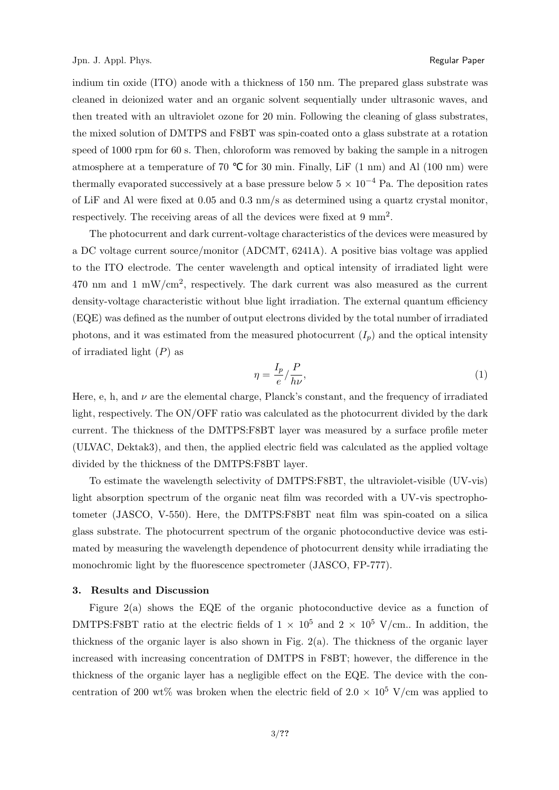indium tin oxide (ITO) anode with a thickness of 150 nm. The prepared glass substrate was cleaned in deionized water and an organic solvent sequentially under ultrasonic waves, and then treated with an ultraviolet ozone for 20 min. Following the cleaning of glass substrates, the mixed solution of DMTPS and F8BT was spin-coated onto a glass substrate at a rotation speed of 1000 rpm for 60 s. Then, chloroform was removed by baking the sample in a nitrogen atmosphere at a temperature of  $70$  for  $30$  min. Finally, LiF  $(1 \text{ nm})$  and Al  $(100 \text{ nm})$  were thermally evaporated successively at a base pressure below  $5 \times 10^{-4}$  Pa. The deposition rates of LiF and Al were fixed at 0.05 and 0.3 nm/s as determined using a quartz crystal monitor, respectively. The receiving areas of all the devices were fixed at 9 mm<sup>2</sup>.

The photocurrent and dark current-voltage characteristics of the devices were measured by a DC voltage current source/monitor (ADCMT, 6241A). A positive bias voltage was applied to the ITO electrode. The center wavelength and optical intensity of irradiated light were 470 nm and 1 mW/cm<sup>2</sup>, respectively. The dark current was also measured as the current density-voltage characteristic without blue light irradiation. The external quantum efficiency (EQE) was defined as the number of output electrons divided by the total number of irradiated photons, and it was estimated from the measured photocurrent  $(I_p)$  and the optical intensity of irradiated light (*P*) as

$$
\eta = \frac{I_p}{e} / \frac{P}{h\nu},\tag{1}
$$

Here, e, h, and  $\nu$  are the elemental charge, Planck's constant, and the frequency of irradiated light, respectively. The ON/OFF ratio was calculated as the photocurrent divided by the dark current. The thickness of the DMTPS:F8BT layer was measured by a surface profile meter (ULVAC, Dektak3), and then, the applied electric field was calculated as the applied voltage divided by the thickness of the DMTPS:F8BT layer.

To estimate the wavelength selectivity of DMTPS:F8BT, the ultraviolet-visible (UV-vis) light absorption spectrum of the organic neat film was recorded with a UV-vis spectrophotometer (JASCO, V-550). Here, the DMTPS:F8BT neat film was spin-coated on a silica glass substrate. The photocurrent spectrum of the organic photoconductive device was estimated by measuring the wavelength dependence of photocurrent density while irradiating the monochromic light by the fluorescence spectrometer (JASCO, FP-777).

#### **3. Results and Discussion**

Figure 2(a) shows the EQE of the organic photoconductive device as a function of DMTPS:F8BT ratio at the electric fields of  $1 \times 10^5$  and  $2 \times 10^5$  V/cm.. In addition, the thickness of the organic layer is also shown in Fig. 2(a). The thickness of the organic layer increased with increasing concentration of DMTPS in F8BT; however, the difference in the thickness of the organic layer has a negligible effect on the EQE. The device with the concentration of 200 wt% was broken when the electric field of  $2.0 \times 10^5$  V/cm was applied to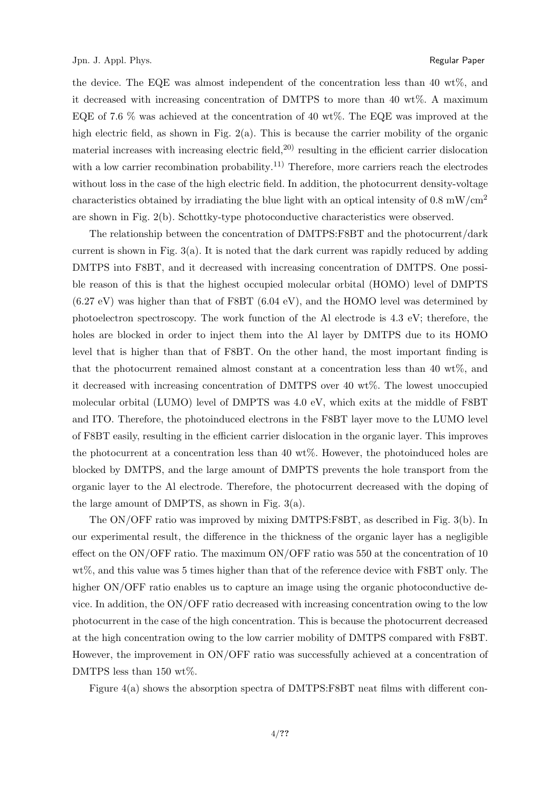the device. The EQE was almost independent of the concentration less than 40 wt%, and it decreased with increasing concentration of DMTPS to more than 40 wt%. A maximum EQE of 7.6 % was achieved at the concentration of 40 wt%. The EQE was improved at the high electric field, as shown in Fig. 2(a). This is because the carrier mobility of the organic material increases with increasing electric field,  $20$  resulting in the efficient carrier dislocation with a low carrier recombination probability.<sup>11)</sup> Therefore, more carriers reach the electrodes without loss in the case of the high electric field. In addition, the photocurrent density-voltage characteristics obtained by irradiating the blue light with an optical intensity of  $0.8 \text{ mW/cm}^2$ are shown in Fig. 2(b). Schottky-type photoconductive characteristics were observed.

The relationship between the concentration of DMTPS:F8BT and the photocurrent/dark current is shown in Fig. 3(a). It is noted that the dark current was rapidly reduced by adding DMTPS into F8BT, and it decreased with increasing concentration of DMTPS. One possible reason of this is that the highest occupied molecular orbital (HOMO) level of DMPTS (6.27 eV) was higher than that of F8BT (6.04 eV), and the HOMO level was determined by photoelectron spectroscopy. The work function of the Al electrode is 4.3 eV; therefore, the holes are blocked in order to inject them into the Al layer by DMTPS due to its HOMO level that is higher than that of F8BT. On the other hand, the most important finding is that the photocurrent remained almost constant at a concentration less than 40 wt%, and it decreased with increasing concentration of DMTPS over 40 wt%. The lowest unoccupied molecular orbital (LUMO) level of DMPTS was 4.0 eV, which exits at the middle of F8BT and ITO. Therefore, the photoinduced electrons in the F8BT layer move to the LUMO level of F8BT easily, resulting in the efficient carrier dislocation in the organic layer. This improves the photocurrent at a concentration less than 40 wt%. However, the photoinduced holes are blocked by DMTPS, and the large amount of DMPTS prevents the hole transport from the organic layer to the Al electrode. Therefore, the photocurrent decreased with the doping of the large amount of DMPTS, as shown in Fig. 3(a).

The ON/OFF ratio was improved by mixing DMTPS:F8BT, as described in Fig. 3(b). In our experimental result, the difference in the thickness of the organic layer has a negligible effect on the ON/OFF ratio. The maximum ON/OFF ratio was 550 at the concentration of 10 wt%, and this value was 5 times higher than that of the reference device with F8BT only. The higher ON/OFF ratio enables us to capture an image using the organic photoconductive device. In addition, the ON/OFF ratio decreased with increasing concentration owing to the low photocurrent in the case of the high concentration. This is because the photocurrent decreased at the high concentration owing to the low carrier mobility of DMTPS compared with F8BT. However, the improvement in ON/OFF ratio was successfully achieved at a concentration of DMTPS less than 150 wt%.

Figure 4(a) shows the absorption spectra of DMTPS:F8BT neat films with different con-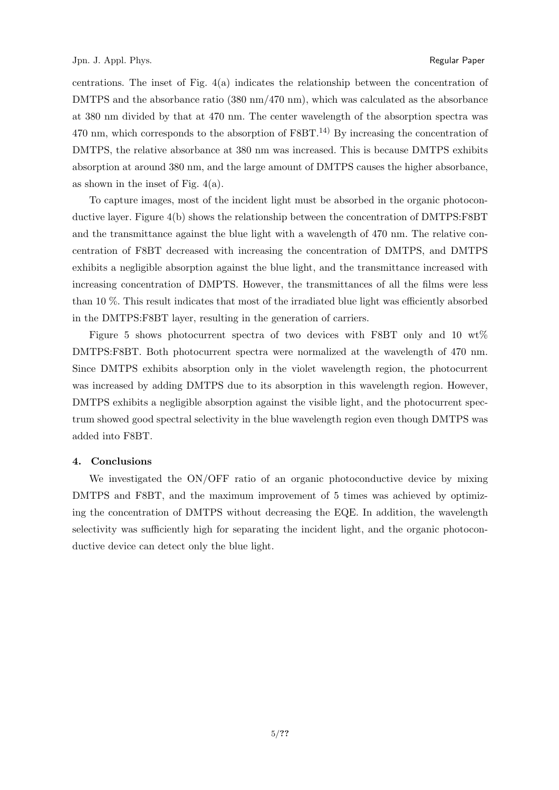centrations. The inset of Fig.  $4(a)$  indicates the relationship between the concentration of DMTPS and the absorbance ratio (380 nm/470 nm), which was calculated as the absorbance at 380 nm divided by that at 470 nm. The center wavelength of the absorption spectra was 470 nm, which corresponds to the absorption of  $F8BT<sup>14</sup>$  By increasing the concentration of DMTPS, the relative absorbance at 380 nm was increased. This is because DMTPS exhibits absorption at around 380 nm, and the large amount of DMTPS causes the higher absorbance, as shown in the inset of Fig.  $4(a)$ .

To capture images, most of the incident light must be absorbed in the organic photoconductive layer. Figure 4(b) shows the relationship between the concentration of DMTPS:F8BT and the transmittance against the blue light with a wavelength of 470 nm. The relative concentration of F8BT decreased with increasing the concentration of DMTPS, and DMTPS exhibits a negligible absorption against the blue light, and the transmittance increased with increasing concentration of DMPTS. However, the transmittances of all the films were less than 10 %. This result indicates that most of the irradiated blue light was efficiently absorbed in the DMTPS:F8BT layer, resulting in the generation of carriers.

Figure 5 shows photocurrent spectra of two devices with F8BT only and 10 wt% DMTPS:F8BT. Both photocurrent spectra were normalized at the wavelength of 470 nm. Since DMTPS exhibits absorption only in the violet wavelength region, the photocurrent was increased by adding DMTPS due to its absorption in this wavelength region. However, DMTPS exhibits a negligible absorption against the visible light, and the photocurrent spectrum showed good spectral selectivity in the blue wavelength region even though DMTPS was added into F8BT.

#### **4. Conclusions**

We investigated the ON/OFF ratio of an organic photoconductive device by mixing DMTPS and F8BT, and the maximum improvement of 5 times was achieved by optimizing the concentration of DMTPS without decreasing the EQE. In addition, the wavelength selectivity was sufficiently high for separating the incident light, and the organic photoconductive device can detect only the blue light.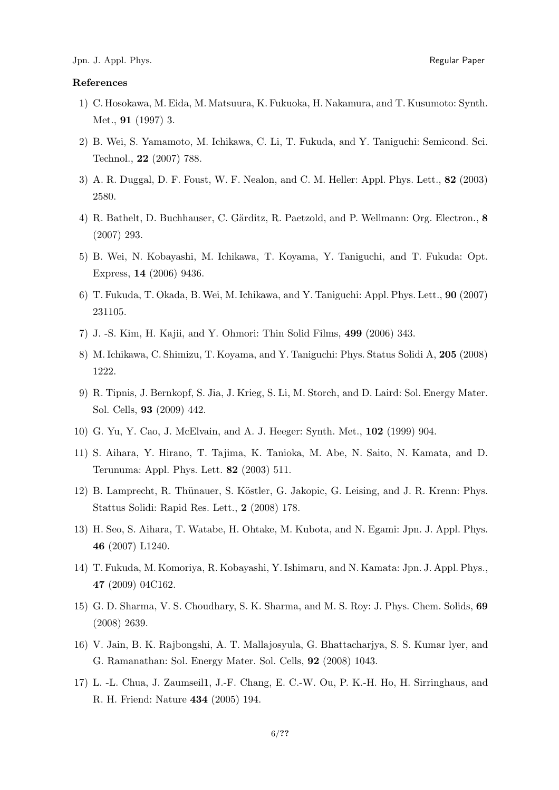### **References**

- 1) C. Hosokawa, M. Eida, M. Matsuura, K. Fukuoka, H. Nakamura, and T. Kusumoto: Synth. Met., **91** (1997) 3.
- 2) B. Wei, S. Yamamoto, M. Ichikawa, C. Li, T. Fukuda, and Y. Taniguchi: Semicond. Sci. Technol., **22** (2007) 788.
- 3) A. R. Duggal, D. F. Foust, W. F. Nealon, and C. M. Heller: Appl. Phys. Lett., **82** (2003) 2580.
- 4) R. Bathelt, D. Buchhauser, C. G¨arditz, R. Paetzold, and P. Wellmann: Org. Electron., **8** (2007) 293.
- 5) B. Wei, N. Kobayashi, M. Ichikawa, T. Koyama, Y. Taniguchi, and T. Fukuda: Opt. Express, **14** (2006) 9436.
- 6) T. Fukuda, T. Okada, B. Wei, M. Ichikawa, and Y. Taniguchi: Appl. Phys. Lett., **90** (2007) 231105.
- 7) J. -S. Kim, H. Kajii, and Y. Ohmori: Thin Solid Films, **499** (2006) 343.
- 8) M. Ichikawa, C. Shimizu, T. Koyama, and Y. Taniguchi: Phys. Status Solidi A, **205** (2008) 1222.
- 9) R. Tipnis, J. Bernkopf, S. Jia, J. Krieg, S. Li, M. Storch, and D. Laird: Sol. Energy Mater. Sol. Cells, **93** (2009) 442.
- 10) G. Yu, Y. Cao, J. McElvain, and A. J. Heeger: Synth. Met., **102** (1999) 904.
- 11) S. Aihara, Y. Hirano, T. Tajima, K. Tanioka, M. Abe, N. Saito, N. Kamata, and D. Terunuma: Appl. Phys. Lett. **82** (2003) 511.
- 12) B. Lamprecht, R. Thünauer, S. Köstler, G. Jakopic, G. Leising, and J. R. Krenn: Phys. Stattus Solidi: Rapid Res. Lett., **2** (2008) 178.
- 13) H. Seo, S. Aihara, T. Watabe, H. Ohtake, M. Kubota, and N. Egami: Jpn. J. Appl. Phys. **46** (2007) L1240.
- 14) T. Fukuda, M. Komoriya, R. Kobayashi, Y. Ishimaru, and N. Kamata: Jpn. J. Appl. Phys., **47** (2009) 04C162.
- 15) G. D. Sharma, V. S. Choudhary, S. K. Sharma, and M. S. Roy: J. Phys. Chem. Solids, **69** (2008) 2639.
- 16) V. Jain, B. K. Rajbongshi, A. T. Mallajosyula, G. Bhattacharjya, S. S. Kumar lyer, and G. Ramanathan: Sol. Energy Mater. Sol. Cells, **92** (2008) 1043.
- 17) L. -L. Chua, J. Zaumseil1, J.-F. Chang, E. C.-W. Ou, P. K.-H. Ho, H. Sirringhaus, and R. H. Friend: Nature **434** (2005) 194.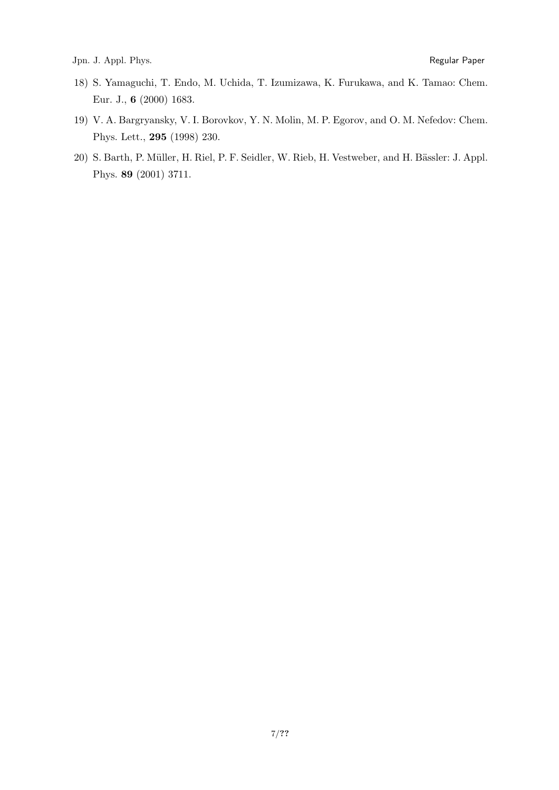- 18) S. Yamaguchi, T. Endo, M. Uchida, T. Izumizawa, K. Furukawa, and K. Tamao: Chem. Eur. J., **6** (2000) 1683.
- 19) V. A. Bargryansky, V. I. Borovkov, Y. N. Molin, M. P. Egorov, and O. M. Nefedov: Chem. Phys. Lett., **295** (1998) 230.
- 20) S. Barth, P. Müller, H. Riel, P. F. Seidler, W. Rieb, H. Vestweber, and H. Bässler: J. Appl. Phys. **89** (2001) 3711.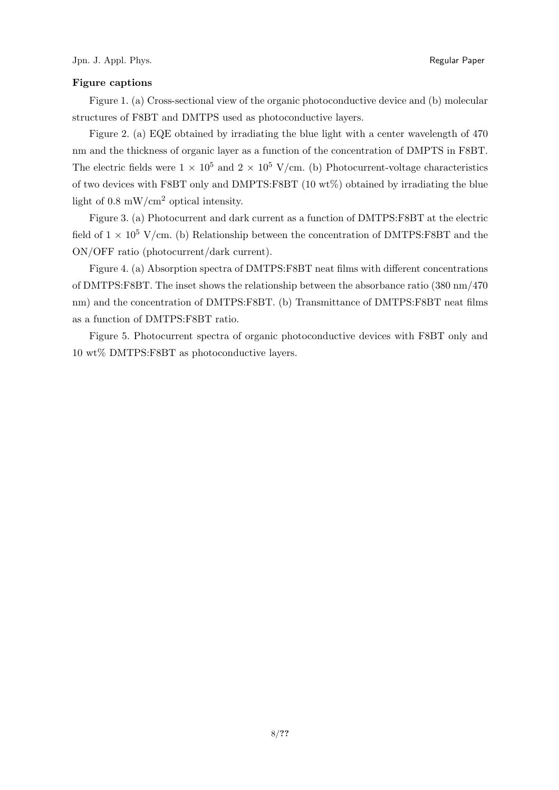### **Figure captions**

Figure 1. (a) Cross-sectional view of the organic photoconductive device and (b) molecular structures of F8BT and DMTPS used as photoconductive layers.

Figure 2. (a) EQE obtained by irradiating the blue light with a center wavelength of 470 nm and the thickness of organic layer as a function of the concentration of DMPTS in F8BT. The electric fields were  $1 \times 10^5$  and  $2 \times 10^5$  V/cm. (b) Photocurrent-voltage characteristics of two devices with F8BT only and DMPTS:F8BT (10 wt%) obtained by irradiating the blue light of  $0.8 \text{ mW/cm}^2$  optical intensity.

Figure 3. (a) Photocurrent and dark current as a function of DMTPS:F8BT at the electric field of  $1 \times 10^5$  V/cm. (b) Relationship between the concentration of DMTPS:F8BT and the ON/OFF ratio (photocurrent/dark current).

Figure 4. (a) Absorption spectra of DMTPS:F8BT neat films with different concentrations of DMTPS:F8BT. The inset shows the relationship between the absorbance ratio (380 nm/470 nm) and the concentration of DMTPS:F8BT. (b) Transmittance of DMTPS:F8BT neat films as a function of DMTPS:F8BT ratio.

Figure 5. Photocurrent spectra of organic photoconductive devices with F8BT only and 10 wt% DMTPS:F8BT as photoconductive layers.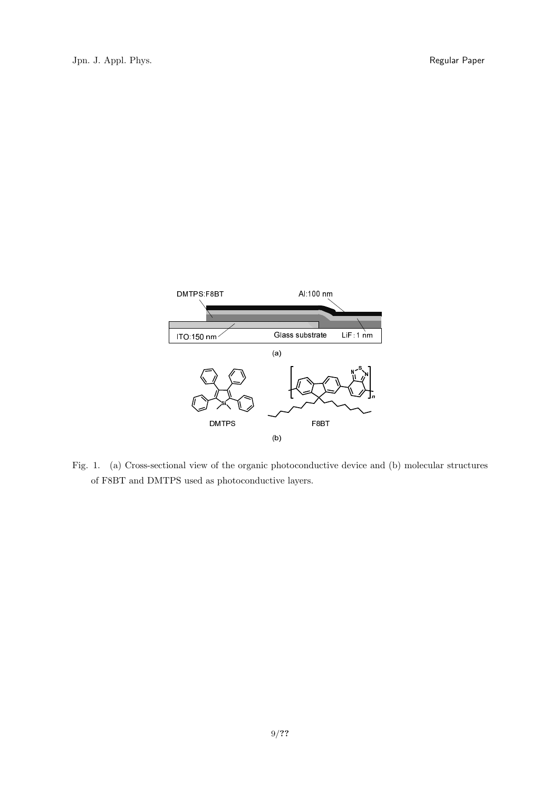

Fig. 1. (a) Cross-sectional view of the organic photoconductive device and (b) molecular structures of F8BT and DMTPS used as photoconductive layers.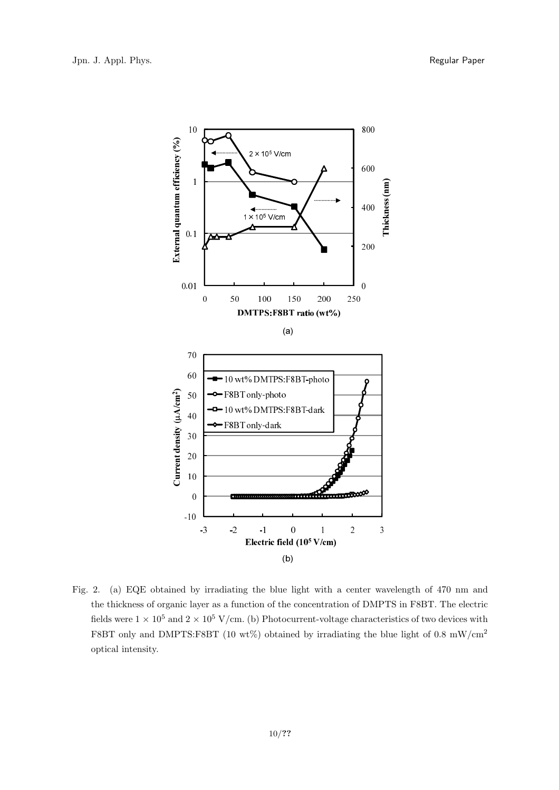

Fig. 2. (a) EQE obtained by irradiating the blue light with a center wavelength of 470 nm and the thickness of organic layer as a function of the concentration of DMPTS in F8BT. The electric fields were  $1 \times 10^5$  and  $2 \times 10^5$  V/cm. (b) Photocurrent-voltage characteristics of two devices with F8BT only and DMPTS:F8BT (10 wt%) obtained by irradiating the blue light of 0.8 mW/cm<sup>2</sup> optical intensity.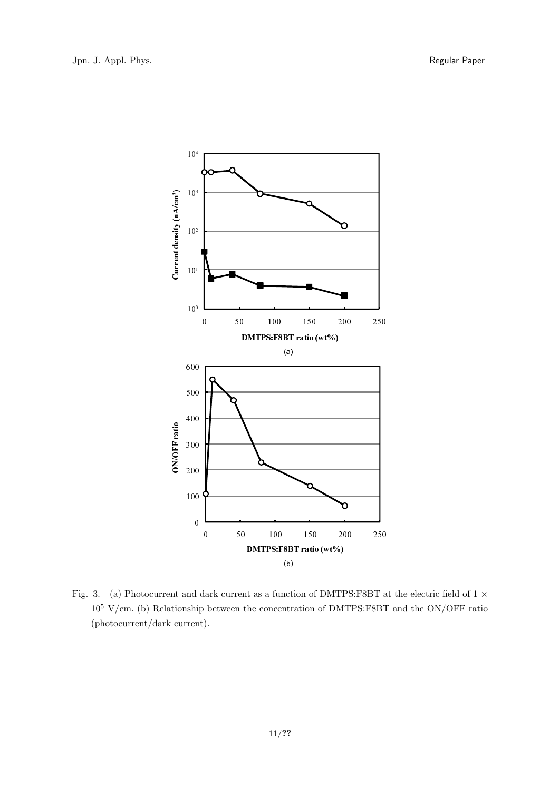

Fig. 3. (a) Photocurrent and dark current as a function of DMTPS:F8BT at the electric field of 1 *×*  $10^5$  V/cm. (b) Relationship between the concentration of DMTPS:F8BT and the ON/OFF ratio (photocurrent/dark current).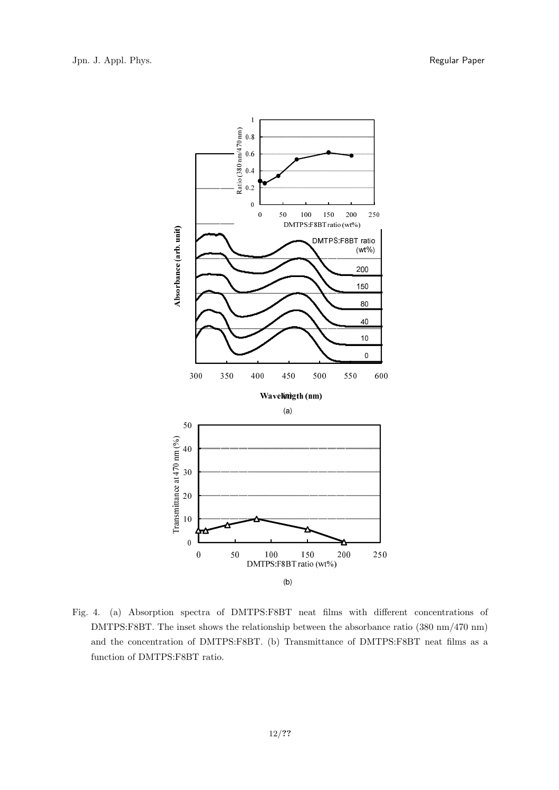

Fig. 4. (a) Absorption spectra of DMTPS:F8BT neat films with different concentrations of DMTPS:F8BT. The inset shows the relationship between the absorbance ratio (380 nm/470 nm) and the concentration of DMTPS:F8BT. (b) Transmittance of DMTPS:F8BT neat films as a function of DMTPS:F8BT ratio.